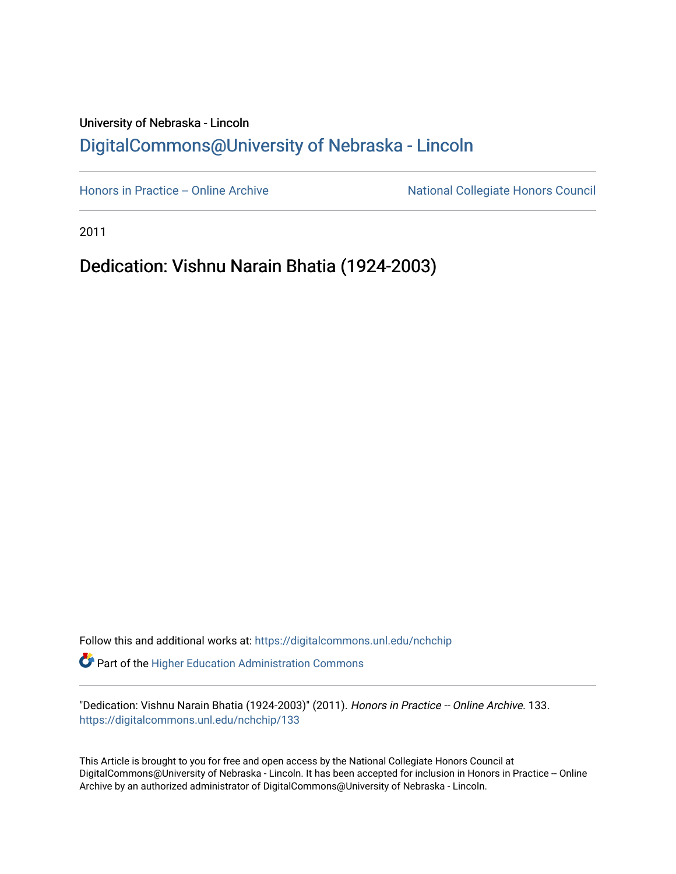## University of Nebraska - Lincoln [DigitalCommons@University of Nebraska - Lincoln](https://digitalcommons.unl.edu/)

[Honors in Practice -- Online Archive](https://digitalcommons.unl.edu/nchchip) National Collegiate Honors Council

2011

Dedication: Vishnu Narain Bhatia (1924-2003)

Follow this and additional works at: [https://digitalcommons.unl.edu/nchchip](https://digitalcommons.unl.edu/nchchip?utm_source=digitalcommons.unl.edu%2Fnchchip%2F133&utm_medium=PDF&utm_campaign=PDFCoverPages)  Part of the [Higher Education Administration Commons](http://network.bepress.com/hgg/discipline/791?utm_source=digitalcommons.unl.edu%2Fnchchip%2F133&utm_medium=PDF&utm_campaign=PDFCoverPages) 

"Dedication: Vishnu Narain Bhatia (1924-2003)" (2011). Honors in Practice -- Online Archive. 133. [https://digitalcommons.unl.edu/nchchip/133](https://digitalcommons.unl.edu/nchchip/133?utm_source=digitalcommons.unl.edu%2Fnchchip%2F133&utm_medium=PDF&utm_campaign=PDFCoverPages) 

This Article is brought to you for free and open access by the National Collegiate Honors Council at DigitalCommons@University of Nebraska - Lincoln. It has been accepted for inclusion in Honors in Practice -- Online Archive by an authorized administrator of DigitalCommons@University of Nebraska - Lincoln.